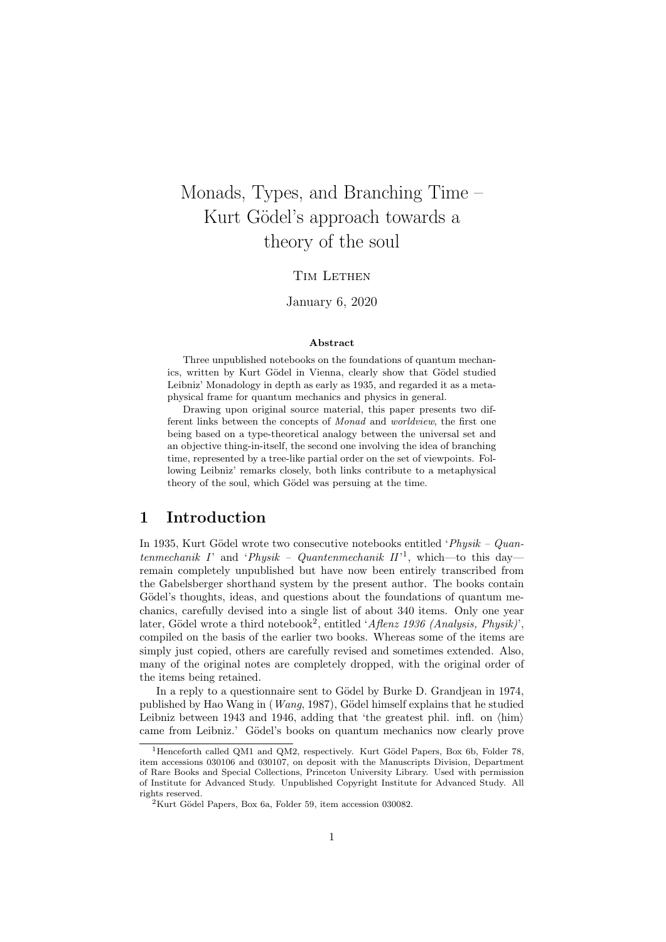# Monads, Types, and Branching Time – Kurt Gödel's approach towards a theory of the soul

#### TIM LETHEN

#### January 6, 2020

#### Abstract

Three unpublished notebooks on the foundations of quantum mechanics, written by Kurt Gödel in Vienna, clearly show that Gödel studied Leibniz' Monadology in depth as early as 1935, and regarded it as a metaphysical frame for quantum mechanics and physics in general.

Drawing upon original source material, this paper presents two different links between the concepts of Monad and worldview, the first one being based on a type-theoretical analogy between the universal set and an objective thing-in-itself, the second one involving the idea of branching time, represented by a tree-like partial order on the set of viewpoints. Following Leibniz' remarks closely, both links contribute to a metaphysical theory of the soul, which Gödel was persuing at the time.

#### 1 Introduction

In 1935, Kurt Gödel wrote two consecutive notebooks entitled ' $Physik - Quan$ tenmechanik I' and 'Physik - Quantenmechanik  $II'$ <sup>1</sup>, which—to this day remain completely unpublished but have now been entirely transcribed from the Gabelsberger shorthand system by the present author. The books contain Gödel's thoughts, ideas, and questions about the foundations of quantum mechanics, carefully devised into a single list of about 340 items. Only one year later, Gödel wrote a third notebook<sup>2</sup>, entitled 'Aflenz 1936 (Analysis, Physik)', compiled on the basis of the earlier two books. Whereas some of the items are simply just copied, others are carefully revised and sometimes extended. Also, many of the original notes are completely dropped, with the original order of the items being retained.

In a reply to a questionnaire sent to Gödel by Burke D. Grandjean in 1974, published by Hao Wang in  $(Wang, 1987)$ , Gödel himself explains that he studied Leibniz between 1943 and 1946, adding that 'the greatest phil. infl. on  $\langle \text{him} \rangle$ came from Leibniz.' Gödel's books on quantum mechanics now clearly prove

<sup>&</sup>lt;sup>1</sup>Henceforth called QM1 and QM2, respectively. Kurt Gödel Papers, Box 6b, Folder 78, item accessions 030106 and 030107, on deposit with the Manuscripts Division, Department of Rare Books and Special Collections, Princeton University Library. Used with permission of Institute for Advanced Study. Unpublished Copyright Institute for Advanced Study. All rights reserved.

 ${}^{2}$ Kurt Gödel Papers, Box 6a, Folder 59, item accession 030082.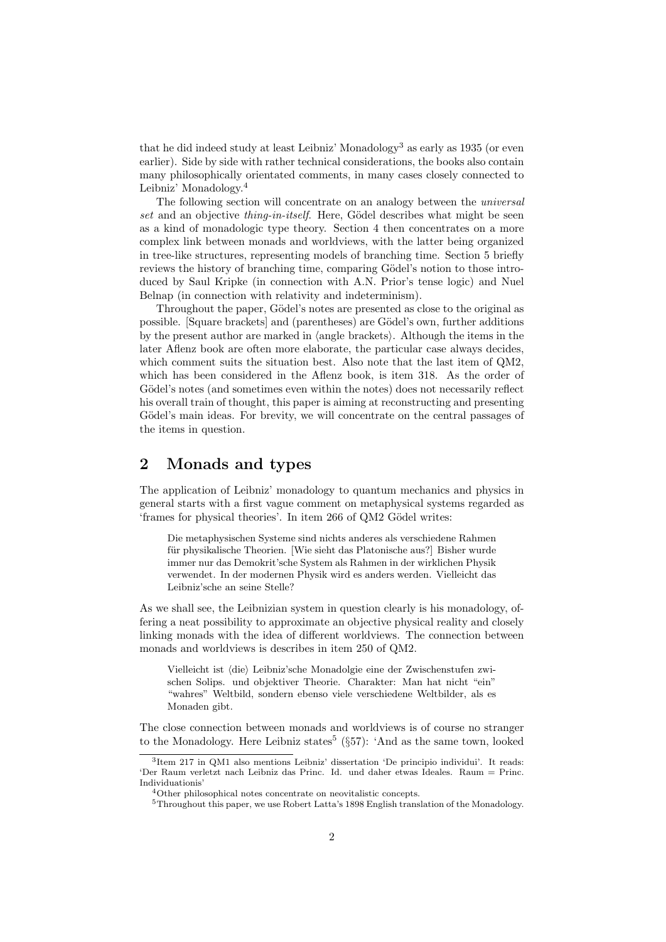that he did indeed study at least Leibniz' Monadology<sup>3</sup> as early as  $1935$  (or even earlier). Side by side with rather technical considerations, the books also contain many philosophically orientated comments, in many cases closely connected to Leibniz' Monadology.<sup>4</sup>

The following section will concentrate on an analogy between the universal set and an objective thing-in-itself. Here, Gödel describes what might be seen as a kind of monadologic type theory. Section 4 then concentrates on a more complex link between monads and worldviews, with the latter being organized in tree-like structures, representing models of branching time. Section 5 briefly reviews the history of branching time, comparing Gödel's notion to those introduced by Saul Kripke (in connection with A.N. Prior's tense logic) and Nuel Belnap (in connection with relativity and indeterminism).

Throughout the paper, Gödel's notes are presented as close to the original as possible. [Square brackets] and (parentheses) are Gödel's own, further additions by the present author are marked in  $\langle \text{angle brackets} \rangle$ . Although the items in the later Aflenz book are often more elaborate, the particular case always decides, which comment suits the situation best. Also note that the last item of QM2, which has been considered in the Aflenz book, is item 318. As the order of Gödel's notes (and sometimes even within the notes) does not necessarily reflect his overall train of thought, this paper is aiming at reconstructing and presenting Gödel's main ideas. For brevity, we will concentrate on the central passages of the items in question.

## 2 Monads and types

The application of Leibniz' monadology to quantum mechanics and physics in general starts with a first vague comment on metaphysical systems regarded as 'frames for physical theories'. In item 266 of QM2 Gödel writes:

Die metaphysischen Systeme sind nichts anderes als verschiedene Rahmen für physikalische Theorien. [Wie sieht das Platonische aus?] Bisher wurde immer nur das Demokrit'sche System als Rahmen in der wirklichen Physik verwendet. In der modernen Physik wird es anders werden. Vielleicht das Leibniz'sche an seine Stelle?

As we shall see, the Leibnizian system in question clearly is his monadology, offering a neat possibility to approximate an objective physical reality and closely linking monads with the idea of different worldviews. The connection between monads and worldviews is describes in item 250 of QM2.

Vielleicht ist (die) Leibniz'sche Monadolgie eine der Zwischenstufen zwischen Solips. und objektiver Theorie. Charakter: Man hat nicht "ein" "wahres" Weltbild, sondern ebenso viele verschiedene Weltbilder, als es Monaden gibt.

The close connection between monads and worldviews is of course no stranger to the Monadology. Here Leibniz states<sup>5</sup> ( $\S57$ ): 'And as the same town, looked

<sup>3</sup> Item 217 in QM1 also mentions Leibniz' dissertation 'De principio individui'. It reads: 'Der Raum verletzt nach Leibniz das Princ. Id. und daher etwas Ideales. Raum = Princ. Individuationis'

<sup>4</sup>Other philosophical notes concentrate on neovitalistic concepts.

<sup>&</sup>lt;sup>5</sup>Throughout this paper, we use Robert Latta's 1898 English translation of the Monadology.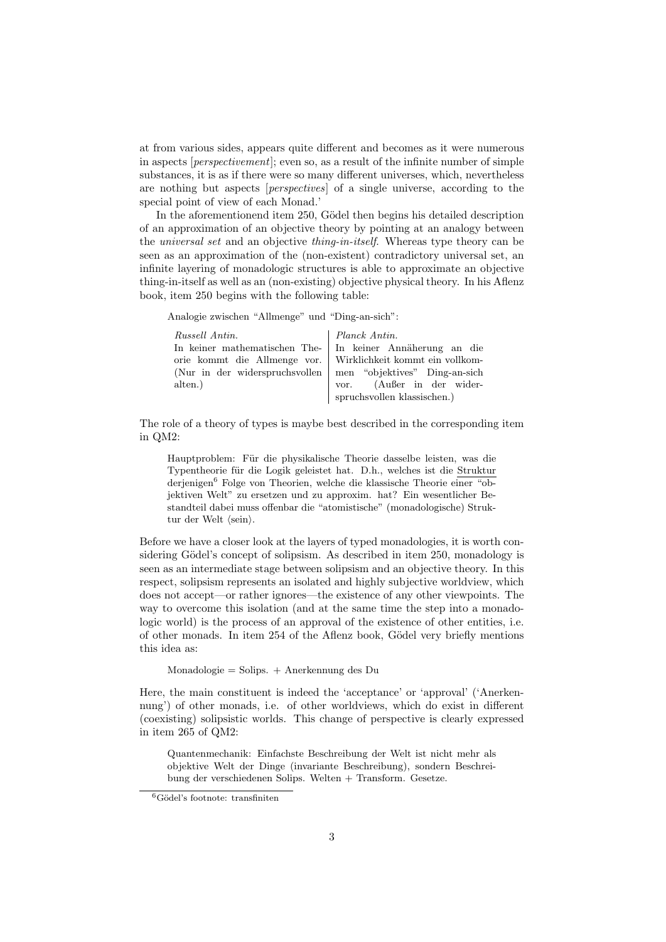at from various sides, appears quite different and becomes as it were numerous in aspects [perspectivement]; even so, as a result of the infinite number of simple substances, it is as if there were so many different universes, which, nevertheless are nothing but aspects [perspectives] of a single universe, according to the special point of view of each Monad.'

In the aforementionend item 250, Gödel then begins his detailed description of an approximation of an objective theory by pointing at an analogy between the *universal set* and an objective *thing-in-itself*. Whereas type theory can be seen as an approximation of the (non-existent) contradictory universal set, an infinite layering of monadologic structures is able to approximate an objective thing-in-itself as well as an (non-existing) objective physical theory. In his Aflenz book, item 250 begins with the following table:

Analogie zwischen "Allmenge" und "Ding-an-sich":

| Russell Antin.                                                 | Planck Antin.               |
|----------------------------------------------------------------|-----------------------------|
| In keiner mathematischen The- In keiner Annäherung an die      |                             |
| orie kommt die Allmenge vor. Wirklichkeit kommt ein vollkom-   |                             |
| (Nur in der widerspruchsvollen   men "objektives" Ding-an-sich |                             |
| alten.                                                         | vor. (Außer in der wider-   |
|                                                                | spruchsvollen klassischen.) |

The role of a theory of types is maybe best described in the corresponding item in QM2:

Hauptproblem: Für die physikalische Theorie dasselbe leisten, was die Typentheorie für die Logik geleistet hat. D.h., welches ist die Struktur derjenigen<sup>6</sup> Folge von Theorien, welche die klassische Theorie einer "objektiven Welt" zu ersetzen und zu approxim. hat? Ein wesentlicher Bestandteil dabei muss offenbar die "atomistische" (monadologische) Struktur der Welt  $\langle \sin \rangle$ .

Before we have a closer look at the layers of typed monadologies, it is worth considering Gödel's concept of solipsism. As described in item 250, monadology is seen as an intermediate stage between solipsism and an objective theory. In this respect, solipsism represents an isolated and highly subjective worldview, which does not accept—or rather ignores—the existence of any other viewpoints. The way to overcome this isolation (and at the same time the step into a monadologic world) is the process of an approval of the existence of other entities, i.e. of other monads. In item 254 of the Aflenz book, Gödel very briefly mentions this idea as:

Monadologie = Solips. + Anerkennung des Du

Here, the main constituent is indeed the 'acceptance' or 'approval' ('Anerkennung') of other monads, i.e. of other worldviews, which do exist in different (coexisting) solipsistic worlds. This change of perspective is clearly expressed in item 265 of QM2:

Quantenmechanik: Einfachste Beschreibung der Welt ist nicht mehr als objektive Welt der Dinge (invariante Beschreibung), sondern Beschreibung der verschiedenen Solips. Welten + Transform. Gesetze.

 ${}^{6}$ Gödel's footnote: transfiniten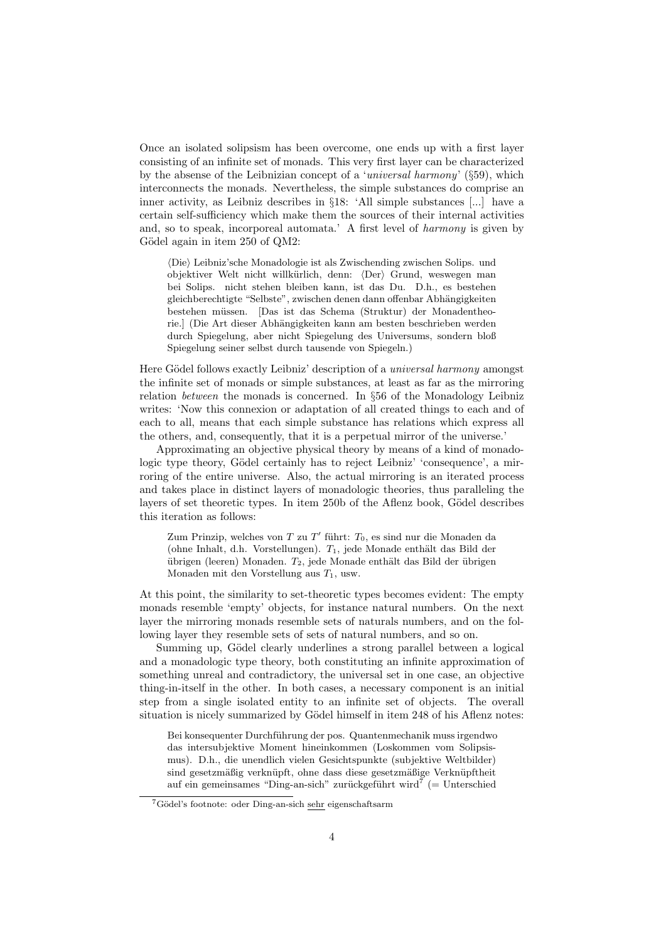Once an isolated solipsism has been overcome, one ends up with a first layer consisting of an infinite set of monads. This very first layer can be characterized by the absense of the Leibnizian concept of a 'universal harmony'  $(\S 59)$ , which interconnects the monads. Nevertheless, the simple substances do comprise an inner activity, as Leibniz describes in §18: 'All simple substances [...] have a certain self-sufficiency which make them the sources of their internal activities and, so to speak, incorporeal automata.' A first level of harmony is given by Gödel again in item 250 of QM2:

(Die) Leibniz'sche Monadologie ist als Zwischending zwischen Solips. und objektiver Welt nicht willkürlich, denn:  $\langle Der \rangle$  Grund, weswegen man bei Solips. nicht stehen bleiben kann, ist das Du. D.h., es bestehen gleichberechtigte "Selbste", zwischen denen dann offenbar Abhängigkeiten bestehen müssen. [Das ist das Schema (Struktur) der Monadentheorie.] (Die Art dieser Abhängigkeiten kann am besten beschrieben werden durch Spiegelung, aber nicht Spiegelung des Universums, sondern bloß Spiegelung seiner selbst durch tausende von Spiegeln.)

Here Gödel follows exactly Leibniz' description of a *universal harmony* amongst the infinite set of monads or simple substances, at least as far as the mirroring relation between the monads is concerned. In §56 of the Monadology Leibniz writes: 'Now this connexion or adaptation of all created things to each and of each to all, means that each simple substance has relations which express all the others, and, consequently, that it is a perpetual mirror of the universe.'

Approximating an objective physical theory by means of a kind of monadologic type theory, Gödel certainly has to reject Leibniz' 'consequence', a mirroring of the entire universe. Also, the actual mirroring is an iterated process and takes place in distinct layers of monadologic theories, thus paralleling the layers of set theoretic types. In item 250b of the Aflenz book, Gödel describes this iteration as follows:

Zum Prinzip, welches von  $T$  zu  $T'$  führt:  $T_0$ , es sind nur die Monaden da (ohne Inhalt, d.h. Vorstellungen).  $T_1$ , jede Monade enthält das Bild der übrigen (leeren) Monaden.  $T_2$ , jede Monade enthält das Bild der übrigen Monaden mit den Vorstellung aus  $T_1$ , usw.

At this point, the similarity to set-theoretic types becomes evident: The empty monads resemble 'empty' objects, for instance natural numbers. On the next layer the mirroring monads resemble sets of naturals numbers, and on the following layer they resemble sets of sets of natural numbers, and so on.

Summing up, Gödel clearly underlines a strong parallel between a logical and a monadologic type theory, both constituting an infinite approximation of something unreal and contradictory, the universal set in one case, an objective thing-in-itself in the other. In both cases, a necessary component is an initial step from a single isolated entity to an infinite set of objects. The overall situation is nicely summarized by Gödel himself in item 248 of his Aflenz notes:

Bei konsequenter Durchführung der pos. Quantenmechanik muss irgendwo das intersubjektive Moment hineinkommen (Loskommen vom Solipsismus). D.h., die unendlich vielen Gesichtspunkte (subjektive Weltbilder) sind gesetzmäßig verknüpft, ohne dass diese gesetzmäßige Verknüpftheit auf ein gemeinsames "Ding-an-sich" zurückgeführt wird<sup>7</sup> (= Unterschied

 $7$ Gödel's footnote: oder Ding-an-sich sehr eigenschaftsarm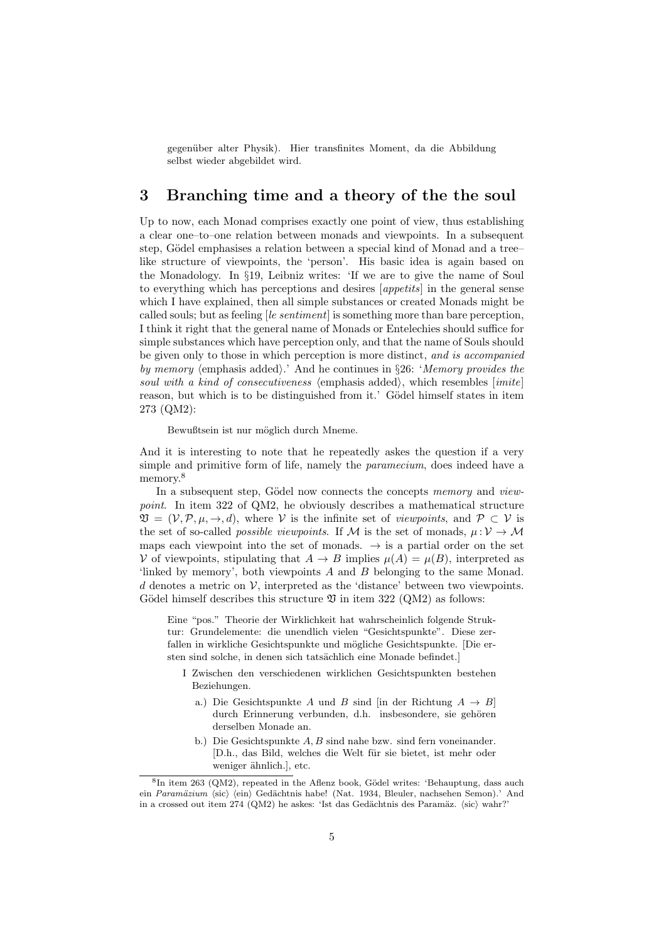gegenüber alter Physik). Hier transfinites Moment, da die Abbildung selbst wieder abgebildet wird.

#### 3 Branching time and a theory of the the soul

Up to now, each Monad comprises exactly one point of view, thus establishing a clear one–to–one relation between monads and viewpoints. In a subsequent step, Gödel emphasises a relation between a special kind of Monad and a tree– like structure of viewpoints, the 'person'. His basic idea is again based on the Monadology. In §19, Leibniz writes: 'If we are to give the name of Soul to everything which has perceptions and desires [appetits] in the general sense which I have explained, then all simple substances or created Monads might be called souls; but as feeling  $[le sentiment]$  is something more than bare perception, I think it right that the general name of Monads or Entelechies should suffice for simple substances which have perception only, and that the name of Souls should be given only to those in which perception is more distinct, and is accompanied by memory (emphasis added).' And he continues in §26: 'Memory provides the soul with a kind of consecutiveness (emphasis added), which resembles  $|imit|$ reason, but which is to be distinguished from it.' Gödel himself states in item 273 (QM2):

Bewußtsein ist nur möglich durch Mneme.

And it is interesting to note that he repeatedly askes the question if a very simple and primitive form of life, namely the paramecium, does indeed have a memory.<sup>8</sup>

In a subsequent step, Gödel now connects the concepts memory and viewpoint. In item 322 of QM2, he obviously describes a mathematical structure  $\mathfrak{V} = (\mathcal{V}, \mathcal{P}, \mu, \rightarrow, d)$ , where  $\mathcal{V}$  is the infinite set of *viewpoints*, and  $\mathcal{P} \subset \mathcal{V}$  is the set of so-called *possible viewpoints*. If M is the set of monads,  $\mu: V \to M$ maps each viewpoint into the set of monads.  $\rightarrow$  is a partial order on the set V of viewpoints, stipulating that  $A \to B$  implies  $\mu(A) = \mu(B)$ , interpreted as 'linked by memory', both viewpoints A and B belonging to the same Monad. d denotes a metric on  $V$ , interpreted as the 'distance' between two viewpoints. Gödel himself describes this structure  $\mathfrak V$  in item 322 (QM2) as follows:

Eine "pos." Theorie der Wirklichkeit hat wahrscheinlich folgende Struktur: Grundelemente: die unendlich vielen "Gesichtspunkte". Diese zerfallen in wirkliche Gesichtspunkte und mögliche Gesichtspunkte. [Die ersten sind solche, in denen sich tatsächlich eine Monade befindet.]

- I Zwischen den verschiedenen wirklichen Gesichtspunkten bestehen Beziehungen.
	- a.) Die Gesichtspunkte A und B sind [in der Richtung  $A \rightarrow B$ ] durch Erinnerung verbunden, d.h. insbesondere, sie gehören derselben Monade an.
	- b.) Die Gesichtspunkte A, B sind nahe bzw. sind fern voneinander. [D.h., das Bild, welches die Welt für sie bietet, ist mehr oder weniger ähnlich., etc.

<sup>&</sup>lt;sup>8</sup>In item 263 (QM2), repeated in the Aflenz book, Gödel writes: 'Behauptung, dass auch ein Paramäzium (sic) (ein) Gedächtnis habe! (Nat. 1934, Bleuler, nachsehen Semon).' And in a crossed out item  $274 \text{ (OM2)}$  he askes: 'Ist das Gedächtnis des Paramäz. (sic) wahr?'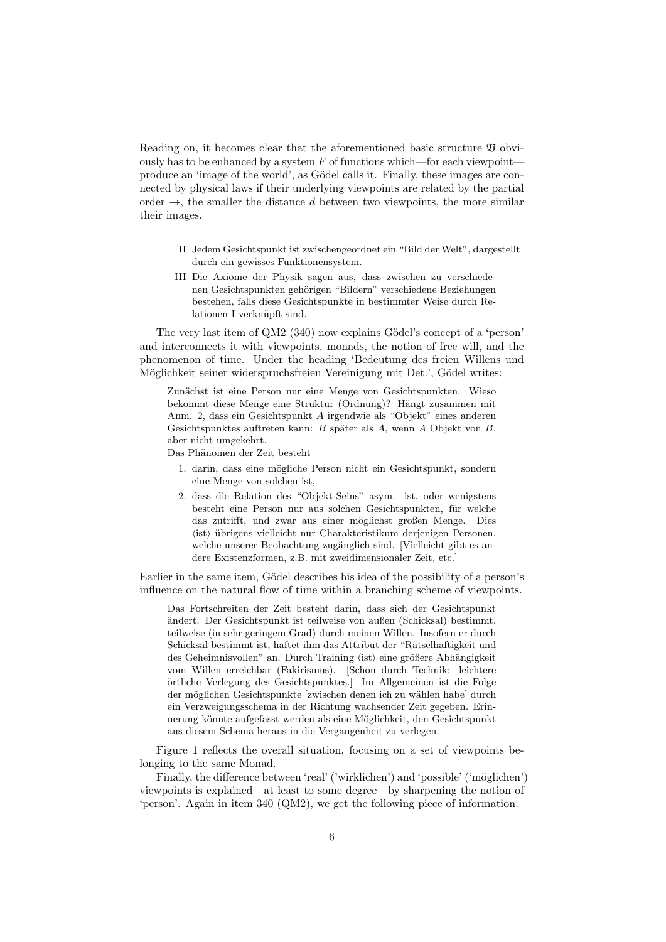Reading on, it becomes clear that the aforementioned basic structure  $\mathfrak V$  obviously has to be enhanced by a system  $F$  of functions which—for each viewpoint produce an 'image of the world', as Gödel calls it. Finally, these images are connected by physical laws if their underlying viewpoints are related by the partial order  $\rightarrow$ , the smaller the distance d between two viewpoints, the more similar their images.

- II Jedem Gesichtspunkt ist zwischengeordnet ein "Bild der Welt", dargestellt durch ein gewisses Funktionensystem.
- III Die Axiome der Physik sagen aus, dass zwischen zu verschiedenen Gesichtspunkten gehörigen "Bildern" verschiedene Beziehungen bestehen, falls diese Gesichtspunkte in bestimmter Weise durch Relationen I verknüpft sind.

The very last item of QM2 (340) now explains Gödel's concept of a 'person' and interconnects it with viewpoints, monads, the notion of free will, and the phenomenon of time. Under the heading 'Bedeutung des freien Willens und Möglichkeit seiner widerspruchsfreien Vereinigung mit Det.', Gödel writes:

Zunächst ist eine Person nur eine Menge von Gesichtspunkten. Wieso bekommt diese Menge eine Struktur (Ordnung)? Hängt zusammen mit Anm. 2, dass ein Gesichtspunkt A irgendwie als "Objekt" eines anderen Gesichtspunktes auftreten kann:  $B$  später als  $A$ , wenn  $A$  Objekt von  $B$ , aber nicht umgekehrt.

Das Phänomen der Zeit besteht

- 1. darin, dass eine mögliche Person nicht ein Gesichtspunkt, sondern eine Menge von solchen ist,
- 2. dass die Relation des "Objekt-Seins" asym. ist, oder wenigstens besteht eine Person nur aus solchen Gesichtspunkten, für welche das zutrifft, und zwar aus einer möglichst großen Menge. Dies  $\langle$ ist $\rangle$  übrigens vielleicht nur Charakteristikum derjenigen Personen, welche unserer Beobachtung zugänglich sind. [Vielleicht gibt es andere Existenzformen, z.B. mit zweidimensionaler Zeit, etc.]

Earlier in the same item, Gödel describes his idea of the possibility of a person's influence on the natural flow of time within a branching scheme of viewpoints.

Das Fortschreiten der Zeit besteht darin, dass sich der Gesichtspunkt ¨andert. Der Gesichtspunkt ist teilweise von außen (Schicksal) bestimmt, teilweise (in sehr geringem Grad) durch meinen Willen. Insofern er durch Schicksal bestimmt ist, haftet ihm das Attribut der "Rätselhaftigkeit und des Geheimnisvollen" an. Durch Training $\langle{\rm ist}\rangle$ eine größere Abhängigkeit vom Willen erreichbar (Fakirismus). [Schon durch Technik: leichtere ¨ortliche Verlegung des Gesichtspunktes.] Im Allgemeinen ist die Folge der möglichen Gesichtspunkte [zwischen denen ich zu wählen habe] durch ein Verzweigungsschema in der Richtung wachsender Zeit gegeben. Erinnerung könnte aufgefasst werden als eine Möglichkeit, den Gesichtspunkt aus diesem Schema heraus in die Vergangenheit zu verlegen.

Figure 1 reflects the overall situation, focusing on a set of viewpoints belonging to the same Monad.

Finally, the difference between 'real' ('wirklichen') and 'possible' ('möglichen') viewpoints is explained—at least to some degree—by sharpening the notion of 'person'. Again in item 340 (QM2), we get the following piece of information: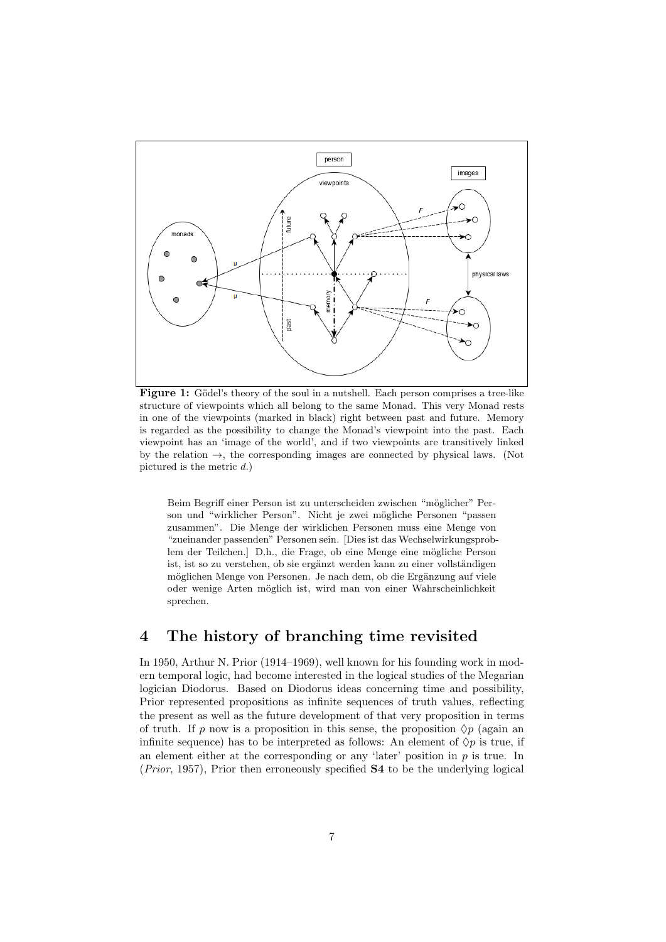

Figure 1: Gödel's theory of the soul in a nutshell. Each person comprises a tree-like structure of viewpoints which all belong to the same Monad. This very Monad rests in one of the viewpoints (marked in black) right between past and future. Memory is regarded as the possibility to change the Monad's viewpoint into the past. Each viewpoint has an 'image of the world', and if two viewpoints are transitively linked by the relation  $\rightarrow$ , the corresponding images are connected by physical laws. (Not pictured is the metric  $d$ .)

Beim Begriff einer Person ist zu unterscheiden zwischen "möglicher" Person und "wirklicher Person". Nicht je zwei mögliche Personen "passen zusammen". Die Menge der wirklichen Personen muss eine Menge von "zueinander passenden" Personen sein. [Dies ist das Wechselwirkungsproblem der Teilchen.] D.h., die Frage, ob eine Menge eine mögliche Person ist, ist so zu verstehen, ob sie ergänzt werden kann zu einer vollständigen möglichen Menge von Personen. Je nach dem, ob die Ergänzung auf viele oder wenige Arten möglich ist, wird man von einer Wahrscheinlichkeit sprechen.

### 4 The history of branching time revisited

In 1950, Arthur N. Prior (1914–1969), well known for his founding work in modern temporal logic, had become interested in the logical studies of the Megarian logician Diodorus. Based on Diodorus ideas concerning time and possibility, Prior represented propositions as infinite sequences of truth values, reflecting the present as well as the future development of that very proposition in terms of truth. If p now is a proposition in this sense, the proposition  $\Diamond p$  (again an infinite sequence) has to be interpreted as follows: An element of  $\Diamond p$  is true, if an element either at the corresponding or any 'later' position in  $p$  is true. In  $(Prior, 1957)$ , Prior then erroneously specified  $S4$  to be the underlying logical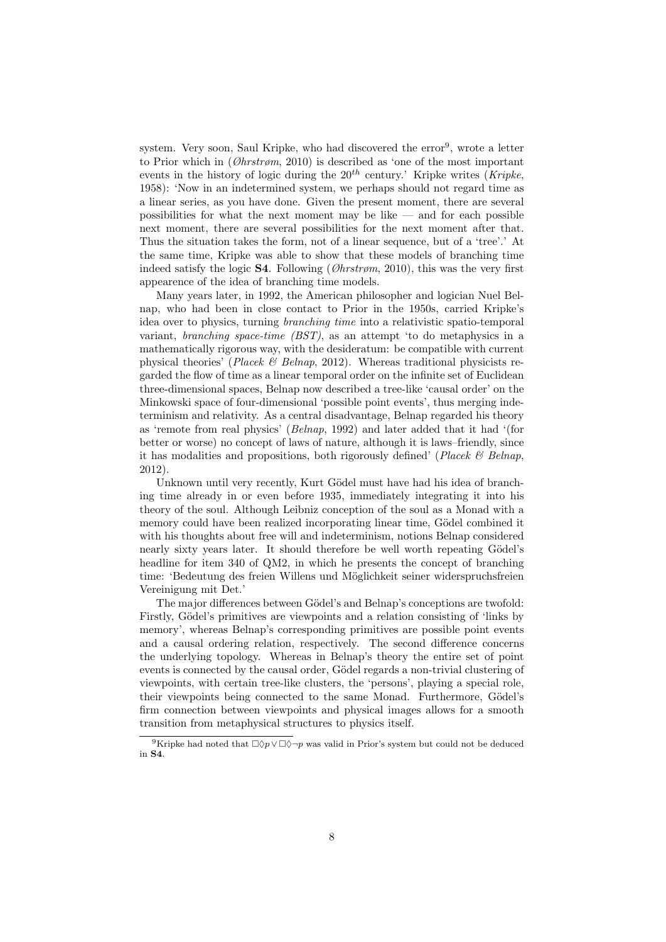system. Very soon, Saul Kripke, who had discovered the error<sup>9</sup>, wrote a letter to Prior which in  $(\emptyset hrtr\emptyset m, 2010)$  is described as 'one of the most important events in the history of logic during the  $20^{th}$  century.' Kripke writes (*Kripke*, 1958): 'Now in an indetermined system, we perhaps should not regard time as a linear series, as you have done. Given the present moment, there are several possibilities for what the next moment may be like  $-$  and for each possible next moment, there are several possibilities for the next moment after that. Thus the situation takes the form, not of a linear sequence, but of a 'tree'.' At the same time, Kripke was able to show that these models of branching time indeed satisfy the logic **S4**. Following ( $\mathcal{O}$ hrstrøm, 2010), this was the very first appearence of the idea of branching time models.

Many years later, in 1992, the American philosopher and logician Nuel Belnap, who had been in close contact to Prior in the 1950s, carried Kripke's idea over to physics, turning branching time into a relativistic spatio-temporal variant, branching space-time (BST), as an attempt 'to do metaphysics in a mathematically rigorous way, with the desideratum: be compatible with current physical theories' (Placek  $\mathcal B$  Belnap, 2012). Whereas traditional physicists regarded the flow of time as a linear temporal order on the infinite set of Euclidean three-dimensional spaces, Belnap now described a tree-like 'causal order' on the Minkowski space of four-dimensional 'possible point events', thus merging indeterminism and relativity. As a central disadvantage, Belnap regarded his theory as 'remote from real physics' (Belnap, 1992) and later added that it had '(for better or worse) no concept of laws of nature, although it is laws–friendly, since it has modalities and propositions, both rigorously defined' (Placek  $\mathcal B$  Belnap, 2012).

Unknown until very recently, Kurt Gödel must have had his idea of branching time already in or even before 1935, immediately integrating it into his theory of the soul. Although Leibniz conception of the soul as a Monad with a memory could have been realized incorporating linear time, Gödel combined it with his thoughts about free will and indeterminism, notions Belnap considered nearly sixty years later. It should therefore be well worth repeating Gödel's headline for item 340 of QM2, in which he presents the concept of branching time: 'Bedeutung des freien Willens und Möglichkeit seiner widerspruchsfreien Vereinigung mit Det.'

The major differences between Gödel's and Belnap's conceptions are twofold: Firstly, Gödel's primitives are viewpoints and a relation consisting of 'links by memory', whereas Belnap's corresponding primitives are possible point events and a causal ordering relation, respectively. The second difference concerns the underlying topology. Whereas in Belnap's theory the entire set of point events is connected by the causal order, Gödel regards a non-trivial clustering of viewpoints, with certain tree-like clusters, the 'persons', playing a special role, their viewpoints being connected to the same Monad. Furthermore, Gödel's firm connection between viewpoints and physical images allows for a smooth transition from metaphysical structures to physics itself.

<sup>&</sup>lt;sup>9</sup>Kripke had noted that  $\Box \Diamond p \lor \Box \Diamond \neg p$  was valid in Prior's system but could not be deduced in S4.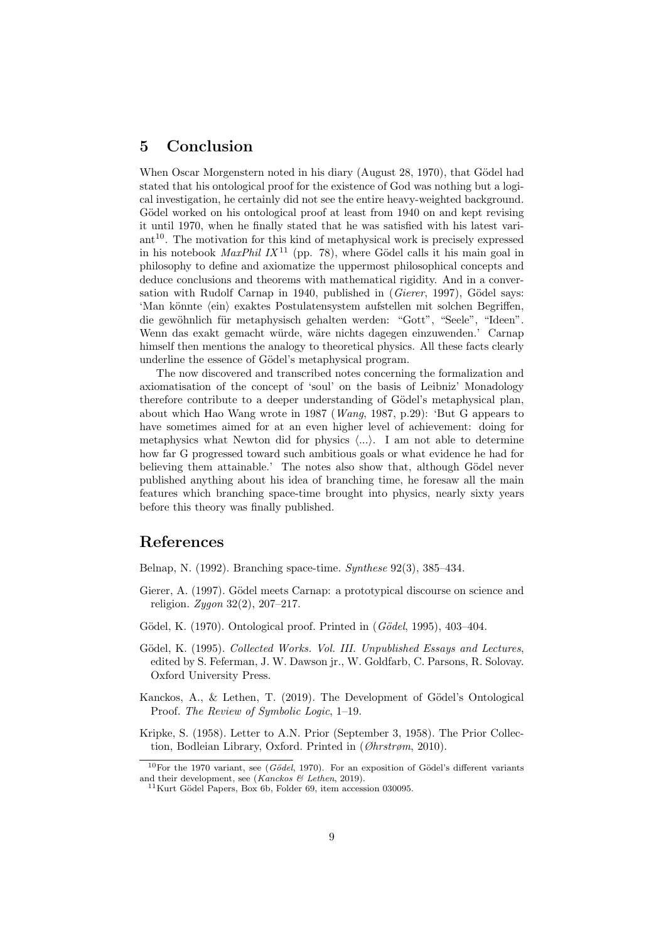### 5 Conclusion

When Oscar Morgenstern noted in his diary (August 28, 1970), that Gödel had stated that his ontological proof for the existence of God was nothing but a logical investigation, he certainly did not see the entire heavy-weighted background. Gödel worked on his ontological proof at least from 1940 on and kept revising it until 1970, when he finally stated that he was satisfied with his latest vari $art<sup>10</sup>$ . The motivation for this kind of metaphysical work is precisely expressed in his notebook *MaxPhil IX*<sup>11</sup> (pp. 78), where Gödel calls it his main goal in philosophy to define and axiomatize the uppermost philosophical concepts and deduce conclusions and theorems with mathematical rigidity. And in a conversation with Rudolf Carnap in 1940, published in  $(Gierer, 1997)$ , Gödel says: 'Man könnte  $\langle \text{ein} \rangle$  exaktes Postulatensystem aufstellen mit solchen Begriffen, die gewöhnlich für metaphysisch gehalten werden: "Gott", "Seele", "Ideen". Wenn das exakt gemacht würde, wäre nichts dagegen einzuwenden.' Carnap himself then mentions the analogy to theoretical physics. All these facts clearly underline the essence of Gödel's metaphysical program.

The now discovered and transcribed notes concerning the formalization and axiomatisation of the concept of 'soul' on the basis of Leibniz' Monadology therefore contribute to a deeper understanding of Gödel's metaphysical plan, about which Hao Wang wrote in 1987 (Wang, 1987, p.29): 'But G appears to have sometimes aimed for at an even higher level of achievement: doing for metaphysics what Newton did for physics  $\langle ... \rangle$ . I am not able to determine how far G progressed toward such ambitious goals or what evidence he had for believing them attainable.' The notes also show that, although Gödel never published anything about his idea of branching time, he foresaw all the main features which branching space-time brought into physics, nearly sixty years before this theory was finally published.

### References

Belnap, N. (1992). Branching space-time. Synthese 92(3), 385–434.

- Gierer, A. (1997). Gödel meets Carnap: a prototypical discourse on science and religion. Zygon 32(2), 207–217.
- Gödel, K. (1970). Ontological proof. Printed in  $(Gödel, 1995)$ , 403–404.
- Gödel, K. (1995). Collected Works. Vol. III. Unpublished Essays and Lectures, edited by S. Feferman, J. W. Dawson jr., W. Goldfarb, C. Parsons, R. Solovay. Oxford University Press.
- Kanckos, A., & Lethen, T. (2019). The Development of Gödel's Ontological Proof. The Review of Symbolic Logic, 1–19.
- Kripke, S. (1958). Letter to A.N. Prior (September 3, 1958). The Prior Collection, Bodleian Library, Oxford. Printed in (Øhrstrøm, 2010).

 $10$ For the 1970 variant, see (Gödel, 1970). For an exposition of Gödel's different variants and their development, see (Kanckos & Lethen, 2019).

 $11$ Kurt Gödel Papers, Box 6b, Folder 69, item accession 030095.